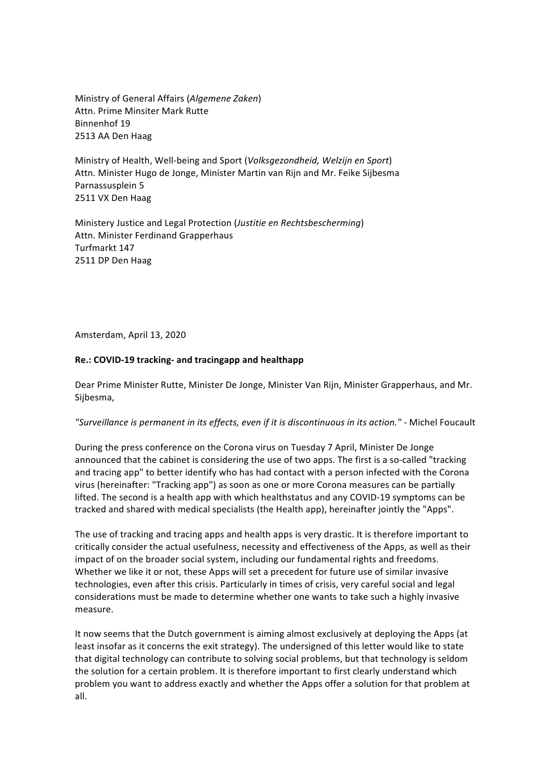Ministry of General Affairs (*Algemene Zaken*) Attn. Prime Minsiter Mark Rutte Binnenhof 19 2513 AA Den Haag

Ministry of Health, Well-being and Sport (*Volksgezondheid, Welzijn en Sport*) Attn. Minister Hugo de Jonge, Minister Martin van Rijn and Mr. Feike Sijbesma Parnassusplein 5 2511 VX Den Haag

Ministery Justice and Legal Protection (*Justitie en Rechtsbescherming*) Attn. Minister Ferdinand Grapperhaus Turfmarkt 147 2511 DP Den Haag

Amsterdam, April 13, 2020

#### **Re.: COVID-19 tracking- and tracingapp and healthapp**

Dear Prime Minister Rutte, Minister De Jonge, Minister Van Rijn, Minister Grapperhaus, and Mr. Sijbesma,

#### "Surveillance is permanent in its effects, even if it is discontinuous in its action." - Michel Foucault

During the press conference on the Corona virus on Tuesday 7 April, Minister De Jonge announced that the cabinet is considering the use of two apps. The first is a so-called "tracking and tracing app" to better identify who has had contact with a person infected with the Corona virus (hereinafter: "Tracking app") as soon as one or more Corona measures can be partially lifted. The second is a health app with which healthstatus and any COVID-19 symptoms can be tracked and shared with medical specialists (the Health app), hereinafter jointly the "Apps".

The use of tracking and tracing apps and health apps is very drastic. It is therefore important to critically consider the actual usefulness, necessity and effectiveness of the Apps, as well as their impact of on the broader social system, including our fundamental rights and freedoms. Whether we like it or not, these Apps will set a precedent for future use of similar invasive technologies, even after this crisis. Particularly in times of crisis, very careful social and legal considerations must be made to determine whether one wants to take such a highly invasive measure.

It now seems that the Dutch government is aiming almost exclusively at deploying the Apps (at least insofar as it concerns the exit strategy). The undersigned of this letter would like to state that digital technology can contribute to solving social problems, but that technology is seldom the solution for a certain problem. It is therefore important to first clearly understand which problem you want to address exactly and whether the Apps offer a solution for that problem at all.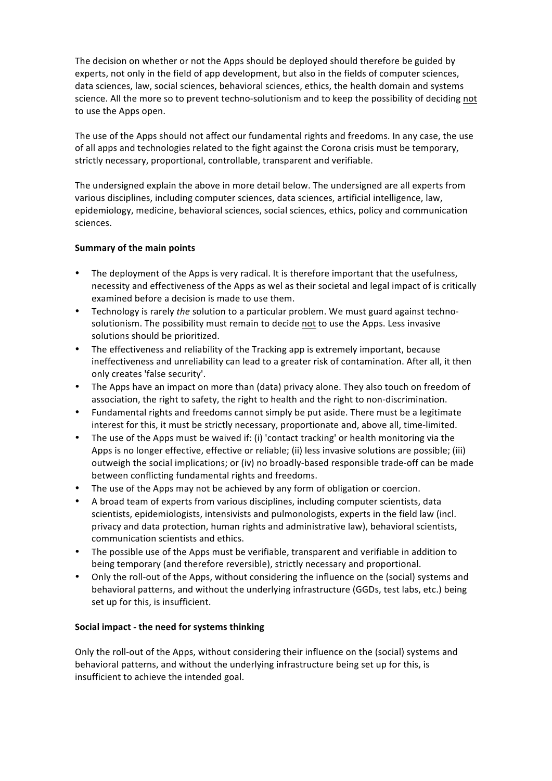The decision on whether or not the Apps should be deployed should therefore be guided by experts, not only in the field of app development, but also in the fields of computer sciences, data sciences, law, social sciences, behavioral sciences, ethics, the health domain and systems science. All the more so to prevent techno-solutionism and to keep the possibility of deciding not to use the Apps open.

The use of the Apps should not affect our fundamental rights and freedoms. In any case, the use of all apps and technologies related to the fight against the Corona crisis must be temporary, strictly necessary, proportional, controllable, transparent and verifiable.

The undersigned explain the above in more detail below. The undersigned are all experts from various disciplines, including computer sciences, data sciences, artificial intelligence, law, epidemiology, medicine, behavioral sciences, social sciences, ethics, policy and communication sciences.

## **Summary of the main points**

- The deployment of the Apps is very radical. It is therefore important that the usefulness, necessity and effectiveness of the Apps as wel as their societal and legal impact of is critically examined before a decision is made to use them.
- Technology is rarely *the* solution to a particular problem. We must guard against technosolutionism. The possibility must remain to decide not to use the Apps. Less invasive solutions should be prioritized.
- The effectiveness and reliability of the Tracking app is extremely important, because ineffectiveness and unreliability can lead to a greater risk of contamination. After all, it then only creates 'false security'.
- The Apps have an impact on more than (data) privacy alone. They also touch on freedom of association, the right to safety, the right to health and the right to non-discrimination.
- Fundamental rights and freedoms cannot simply be put aside. There must be a legitimate interest for this, it must be strictly necessary, proportionate and, above all, time-limited.
- The use of the Apps must be waived if: (i) 'contact tracking' or health monitoring via the Apps is no longer effective, effective or reliable; (ii) less invasive solutions are possible; (iii) outweigh the social implications; or (iv) no broadly-based responsible trade-off can be made between conflicting fundamental rights and freedoms.
- The use of the Apps may not be achieved by any form of obligation or coercion.
- A broad team of experts from various disciplines, including computer scientists, data scientists, epidemiologists, intensivists and pulmonologists, experts in the field law (incl. privacy and data protection, human rights and administrative law), behavioral scientists, communication scientists and ethics.
- The possible use of the Apps must be verifiable, transparent and verifiable in addition to being temporary (and therefore reversible), strictly necessary and proportional.
- Only the roll-out of the Apps, without considering the influence on the (social) systems and behavioral patterns, and without the underlying infrastructure (GGDs, test labs, etc.) being set up for this, is insufficient.

## **Social impact - the need for systems thinking**

Only the roll-out of the Apps, without considering their influence on the (social) systems and behavioral patterns, and without the underlying infrastructure being set up for this, is insufficient to achieve the intended goal.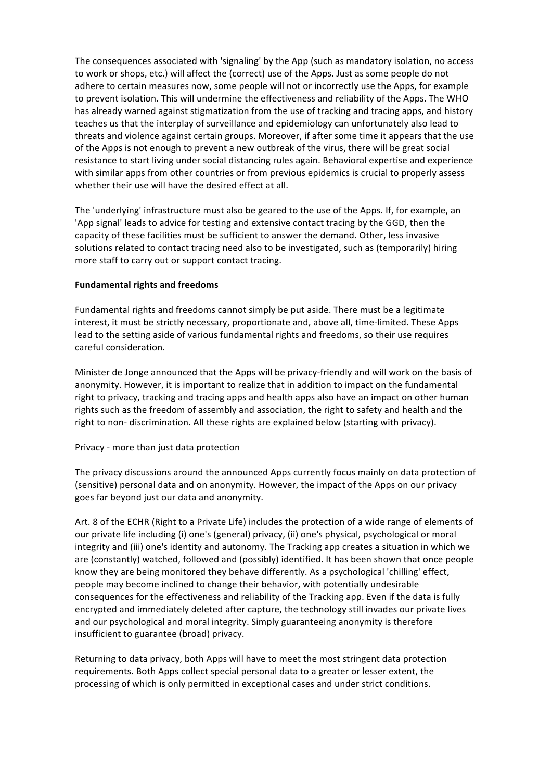The consequences associated with 'signaling' by the App (such as mandatory isolation, no access to work or shops, etc.) will affect the (correct) use of the Apps. Just as some people do not adhere to certain measures now, some people will not or incorrectly use the Apps, for example to prevent isolation. This will undermine the effectiveness and reliability of the Apps. The WHO has already warned against stigmatization from the use of tracking and tracing apps, and history teaches us that the interplay of surveillance and epidemiology can unfortunately also lead to threats and violence against certain groups. Moreover, if after some time it appears that the use of the Apps is not enough to prevent a new outbreak of the virus, there will be great social resistance to start living under social distancing rules again. Behavioral expertise and experience with similar apps from other countries or from previous epidemics is crucial to properly assess whether their use will have the desired effect at all.

The 'underlying' infrastructure must also be geared to the use of the Apps. If, for example, an 'App signal' leads to advice for testing and extensive contact tracing by the GGD, then the capacity of these facilities must be sufficient to answer the demand. Other, less invasive solutions related to contact tracing need also to be investigated, such as (temporarily) hiring more staff to carry out or support contact tracing.

#### **Fundamental rights and freedoms**

Fundamental rights and freedoms cannot simply be put aside. There must be a legitimate interest, it must be strictly necessary, proportionate and, above all, time-limited. These Apps lead to the setting aside of various fundamental rights and freedoms, so their use requires careful consideration.

Minister de Jonge announced that the Apps will be privacy-friendly and will work on the basis of anonymity. However, it is important to realize that in addition to impact on the fundamental right to privacy, tracking and tracing apps and health apps also have an impact on other human rights such as the freedom of assembly and association, the right to safety and health and the right to non- discrimination. All these rights are explained below (starting with privacy).

#### Privacy - more than just data protection

The privacy discussions around the announced Apps currently focus mainly on data protection of (sensitive) personal data and on anonymity. However, the impact of the Apps on our privacy goes far beyond just our data and anonymity.

Art. 8 of the ECHR (Right to a Private Life) includes the protection of a wide range of elements of our private life including (i) one's (general) privacy, (ii) one's physical, psychological or moral integrity and (iii) one's identity and autonomy. The Tracking app creates a situation in which we are (constantly) watched, followed and (possibly) identified. It has been shown that once people know they are being monitored they behave differently. As a psychological 'chilling' effect, people may become inclined to change their behavior, with potentially undesirable consequences for the effectiveness and reliability of the Tracking app. Even if the data is fully encrypted and immediately deleted after capture, the technology still invades our private lives and our psychological and moral integrity. Simply guaranteeing anonymity is therefore insufficient to guarantee (broad) privacy.

Returning to data privacy, both Apps will have to meet the most stringent data protection requirements. Both Apps collect special personal data to a greater or lesser extent, the processing of which is only permitted in exceptional cases and under strict conditions.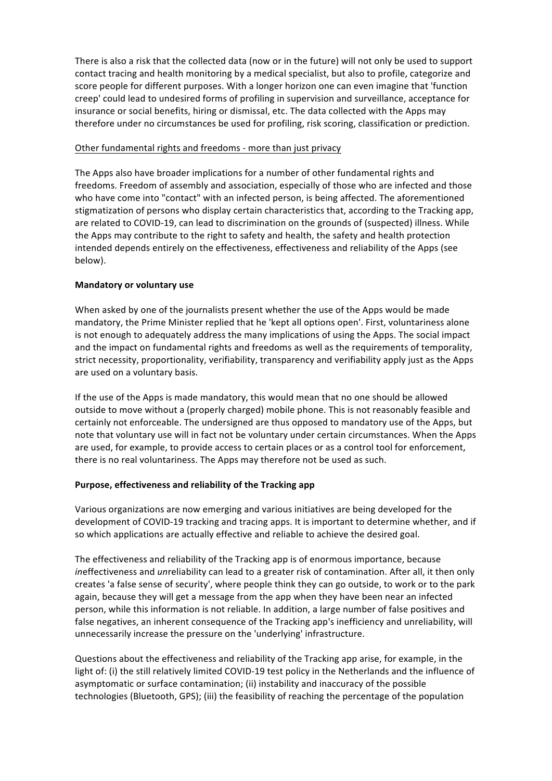There is also a risk that the collected data (now or in the future) will not only be used to support contact tracing and health monitoring by a medical specialist, but also to profile, categorize and score people for different purposes. With a longer horizon one can even imagine that 'function creep' could lead to undesired forms of profiling in supervision and surveillance, acceptance for insurance or social benefits, hiring or dismissal, etc. The data collected with the Apps may therefore under no circumstances be used for profiling, risk scoring, classification or prediction.

## Other fundamental rights and freedoms - more than just privacy

The Apps also have broader implications for a number of other fundamental rights and freedoms. Freedom of assembly and association, especially of those who are infected and those who have come into "contact" with an infected person, is being affected. The aforementioned stigmatization of persons who display certain characteristics that, according to the Tracking app, are related to COVID-19, can lead to discrimination on the grounds of (suspected) illness. While the Apps may contribute to the right to safety and health, the safety and health protection intended depends entirely on the effectiveness, effectiveness and reliability of the Apps (see below).

## **Mandatory or voluntary use**

When asked by one of the journalists present whether the use of the Apps would be made mandatory, the Prime Minister replied that he 'kept all options open'. First, voluntariness alone is not enough to adequately address the many implications of using the Apps. The social impact and the impact on fundamental rights and freedoms as well as the requirements of temporality, strict necessity, proportionality, verifiability, transparency and verifiability apply just as the Apps are used on a voluntary basis.

If the use of the Apps is made mandatory, this would mean that no one should be allowed outside to move without a (properly charged) mobile phone. This is not reasonably feasible and certainly not enforceable. The undersigned are thus opposed to mandatory use of the Apps, but note that voluntary use will in fact not be voluntary under certain circumstances. When the Apps are used, for example, to provide access to certain places or as a control tool for enforcement, there is no real voluntariness. The Apps may therefore not be used as such.

# Purpose, effectiveness and reliability of the Tracking app

Various organizations are now emerging and various initiatives are being developed for the development of COVID-19 tracking and tracing apps. It is important to determine whether, and if so which applications are actually effective and reliable to achieve the desired goal.

The effectiveness and reliability of the Tracking app is of enormous importance, because ineffectiveness and *unreliability* can lead to a greater risk of contamination. After all, it then only creates 'a false sense of security', where people think they can go outside, to work or to the park again, because they will get a message from the app when they have been near an infected person, while this information is not reliable. In addition, a large number of false positives and false negatives, an inherent consequence of the Tracking app's inefficiency and unreliability, will unnecessarily increase the pressure on the 'underlying' infrastructure.

Questions about the effectiveness and reliability of the Tracking app arise, for example, in the light of: (i) the still relatively limited COVID-19 test policy in the Netherlands and the influence of asymptomatic or surface contamination; (ii) instability and inaccuracy of the possible technologies (Bluetooth, GPS); (iii) the feasibility of reaching the percentage of the population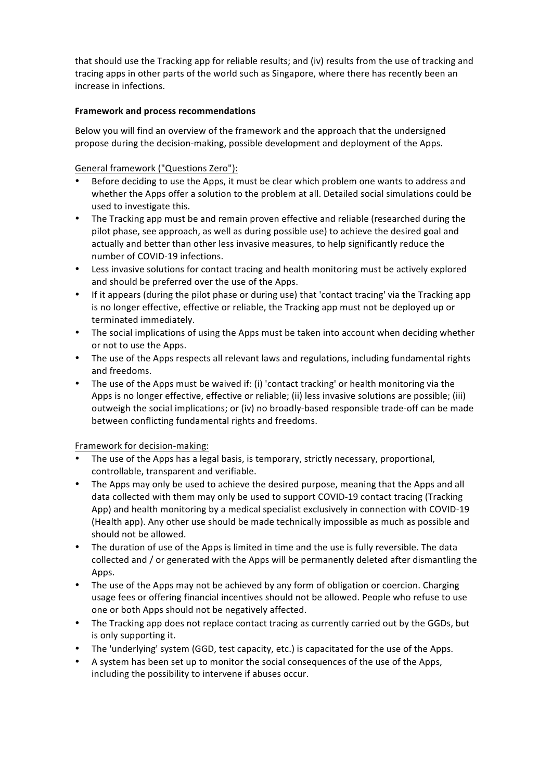that should use the Tracking app for reliable results; and (iv) results from the use of tracking and tracing apps in other parts of the world such as Singapore, where there has recently been an increase in infections.

## **Framework and process recommendations**

Below you will find an overview of the framework and the approach that the undersigned propose during the decision-making, possible development and deployment of the Apps.

# General framework ("Questions Zero"):

- Before deciding to use the Apps, it must be clear which problem one wants to address and whether the Apps offer a solution to the problem at all. Detailed social simulations could be used to investigate this.
- The Tracking app must be and remain proven effective and reliable (researched during the pilot phase, see approach, as well as during possible use) to achieve the desired goal and actually and better than other less invasive measures, to help significantly reduce the number of COVID-19 infections.
- Less invasive solutions for contact tracing and health monitoring must be actively explored and should be preferred over the use of the Apps.
- If it appears (during the pilot phase or during use) that 'contact tracing' via the Tracking app is no longer effective, effective or reliable, the Tracking app must not be deployed up or terminated immediately.
- The social implications of using the Apps must be taken into account when deciding whether or not to use the Apps.
- The use of the Apps respects all relevant laws and regulations, including fundamental rights and freedoms.
- The use of the Apps must be waived if: (i) 'contact tracking' or health monitoring via the Apps is no longer effective, effective or reliable; (ii) less invasive solutions are possible; (iii) outweigh the social implications; or (iv) no broadly-based responsible trade-off can be made between conflicting fundamental rights and freedoms.

## Framework for decision-making:

- The use of the Apps has a legal basis, is temporary, strictly necessary, proportional, controllable, transparent and verifiable.
- The Apps may only be used to achieve the desired purpose, meaning that the Apps and all data collected with them may only be used to support COVID-19 contact tracing (Tracking App) and health monitoring by a medical specialist exclusively in connection with COVID-19 (Health app). Any other use should be made technically impossible as much as possible and should not be allowed.
- The duration of use of the Apps is limited in time and the use is fully reversible. The data collected and / or generated with the Apps will be permanently deleted after dismantling the Apps.
- The use of the Apps may not be achieved by any form of obligation or coercion. Charging usage fees or offering financial incentives should not be allowed. People who refuse to use one or both Apps should not be negatively affected.
- The Tracking app does not replace contact tracing as currently carried out by the GGDs, but is only supporting it.
- The 'underlying' system (GGD, test capacity, etc.) is capacitated for the use of the Apps.
- A system has been set up to monitor the social consequences of the use of the Apps, including the possibility to intervene if abuses occur.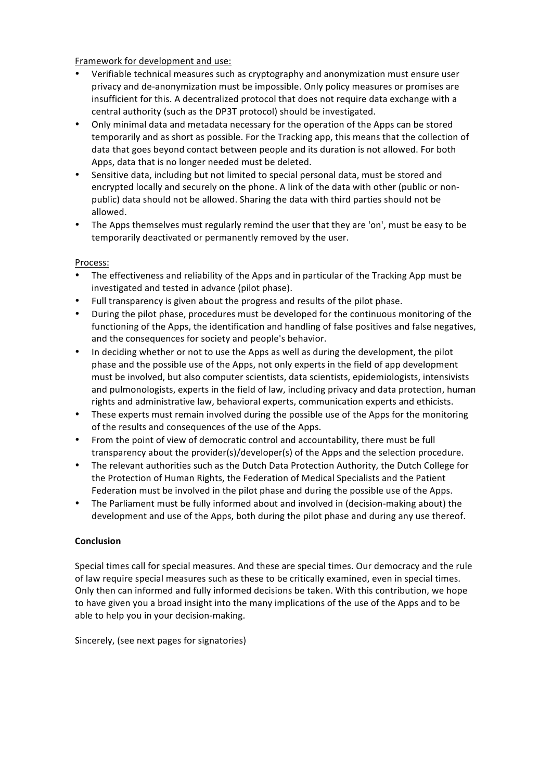Framework for development and use:

- Verifiable technical measures such as cryptography and anonymization must ensure user privacy and de-anonymization must be impossible. Only policy measures or promises are insufficient for this. A decentralized protocol that does not require data exchange with a central authority (such as the DP3T protocol) should be investigated.
- Only minimal data and metadata necessary for the operation of the Apps can be stored temporarily and as short as possible. For the Tracking app, this means that the collection of data that goes beyond contact between people and its duration is not allowed. For both Apps, data that is no longer needed must be deleted.
- Sensitive data, including but not limited to special personal data, must be stored and encrypted locally and securely on the phone. A link of the data with other (public or nonpublic) data should not be allowed. Sharing the data with third parties should not be allowed.
- The Apps themselves must regularly remind the user that they are 'on', must be easy to be temporarily deactivated or permanently removed by the user.

## Process:

- The effectiveness and reliability of the Apps and in particular of the Tracking App must be investigated and tested in advance (pilot phase).
- Full transparency is given about the progress and results of the pilot phase.
- During the pilot phase, procedures must be developed for the continuous monitoring of the functioning of the Apps, the identification and handling of false positives and false negatives, and the consequences for society and people's behavior.
- In deciding whether or not to use the Apps as well as during the development, the pilot phase and the possible use of the Apps, not only experts in the field of app development must be involved, but also computer scientists, data scientists, epidemiologists, intensivists and pulmonologists, experts in the field of law, including privacy and data protection, human rights and administrative law, behavioral experts, communication experts and ethicists.
- These experts must remain involved during the possible use of the Apps for the monitoring of the results and consequences of the use of the Apps.
- From the point of view of democratic control and accountability, there must be full transparency about the provider(s)/developer(s) of the Apps and the selection procedure.
- The relevant authorities such as the Dutch Data Protection Authority, the Dutch College for the Protection of Human Rights, the Federation of Medical Specialists and the Patient Federation must be involved in the pilot phase and during the possible use of the Apps.
- The Parliament must be fully informed about and involved in (decision-making about) the development and use of the Apps, both during the pilot phase and during any use thereof.

## **Conclusion**

Special times call for special measures. And these are special times. Our democracy and the rule of law require special measures such as these to be critically examined, even in special times. Only then can informed and fully informed decisions be taken. With this contribution, we hope to have given you a broad insight into the many implications of the use of the Apps and to be able to help you in your decision-making.

Sincerely, (see next pages for signatories)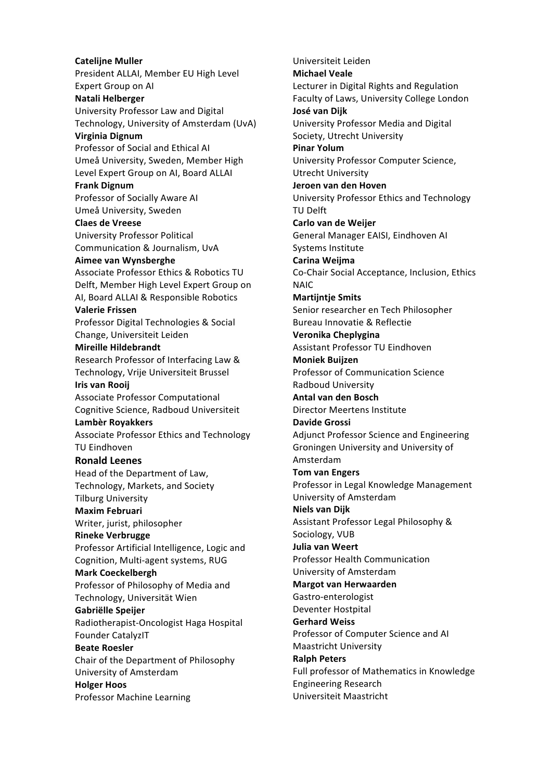**Catelijne Muller** President ALLAI, Member EU High Level Expert Group on AI **Natali Helberger** University Professor Law and Digital Technology, University of Amsterdam (UvA) **Virginia Dignum**  Professor of Social and Ethical AI Umeå University, Sweden, Member High Level Expert Group on AI, Board ALLAI **Frank Dignum** Professor of Socially Aware AI Umeå University, Sweden **Claes de Vreese** University Professor Political Communication & Journalism, UvA **Aimee van Wynsberghe** Associate Professor Ethics & Robotics TU Delft, Member High Level Expert Group on AI, Board ALLAI & Responsible Robotics **Valerie Frissen** Professor Digital Technologies & Social Change, Universiteit Leiden **Mireille Hildebrandt** Research Professor of Interfacing Law & Technology, Vrije Universiteit Brussel **Iris van Rooij** Associate Professor Computational Cognitive Science, Radboud Universiteit **Lambèr Royakkers** Associate Professor Ethics and Technology **TU Eindhoven Ronald Leenes** Head of the Department of Law, Technology, Markets, and Society **Tilburg University Maxim Februari** Writer, jurist, philosopher **Rineke Verbrugge** Professor Artificial Intelligence, Logic and Cognition, Multi-agent systems, RUG **Mark Coeckelbergh** Professor of Philosophy of Media and Technology, Universität Wien **Gabriëlle Speijer** Radiotherapist-Oncologist Haga Hospital Founder CatalyzIT **Beate Roesler** Chair of the Department of Philosophy University of Amsterdam **Holger Hoos** Professor Machine Learning

Universiteit Leiden **Michael Veale** Lecturer in Digital Rights and Regulation Faculty of Laws, University College London **José van Dijk**  University Professor Media and Digital Society, Utrecht University **Pinar Yolum** University Professor Computer Science, Utrecht University **Jeroen van den Hoven** University Professor Ethics and Technology TU Delft **Carlo van de Weijer** General Manager EAISI, Eindhoven AI Systems Institute **Carina Weijma** Co-Chair Social Acceptance, Inclusion, Ethics NAIC **Martijntje Smits** Senior researcher en Tech Philosopher Bureau Innovatie & Reflectie **Veronika Cheplygina** Assistant Professor TU Eindhoven **Moniek Buijzen** Professor of Communication Science Radboud University **Antal van den Bosch** Director Meertens Institute **Davide Grossi** Adjunct Professor Science and Engineering Groningen University and University of Amsterdam **Tom van Engers** Professor in Legal Knowledge Management University of Amsterdam **Niels van Dijk** Assistant Professor Legal Philosophy & Sociology, VUB **Julia van Weert** Professor Health Communication University of Amsterdam **Margot van Herwaarden** Gastro-enterologist Deventer Hostpital **Gerhard Weiss** Professor of Computer Science and AI Maastricht University **Ralph Peters** Full professor of Mathematics in Knowledge Engineering Research Universiteit Maastricht